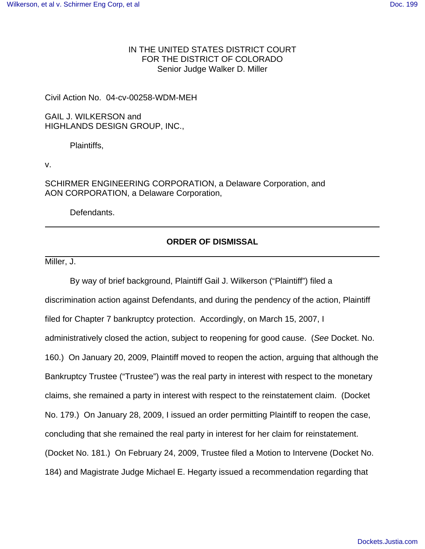## IN THE UNITED STATES DISTRICT COURT FOR THE DISTRICT OF COLORADO Senior Judge Walker D. Miller

Civil Action No. 04-cv-00258-WDM-MEH

GAIL J. WILKERSON and HIGHLANDS DESIGN GROUP, INC.,

Plaintiffs,

v.

SCHIRMER ENGINEERING CORPORATION, a Delaware Corporation, and AON CORPORATION, a Delaware Corporation,

Defendants.

## **ORDER OF DISMISSAL**

Miller, J.

By way of brief background, Plaintiff Gail J. Wilkerson ("Plaintiff") filed a discrimination action against Defendants, and during the pendency of the action, Plaintiff filed for Chapter 7 bankruptcy protection. Accordingly, on March 15, 2007, I administratively closed the action, subject to reopening for good cause. (See Docket. No. 160.) On January 20, 2009, Plaintiff moved to reopen the action, arguing that although the Bankruptcy Trustee ("Trustee") was the real party in interest with respect to the monetary claims, she remained a party in interest with respect to the reinstatement claim. (Docket No. 179.) On January 28, 2009, I issued an order permitting Plaintiff to reopen the case, concluding that she remained the real party in interest for her claim for reinstatement. (Docket No. 181.) On February 24, 2009, Trustee filed a Motion to Intervene (Docket No. 184) and Magistrate Judge Michael E. Hegarty issued a recommendation regarding that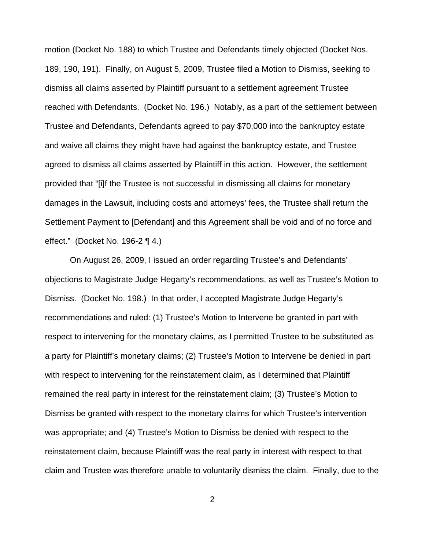motion (Docket No. 188) to which Trustee and Defendants timely objected (Docket Nos. 189, 190, 191). Finally, on August 5, 2009, Trustee filed a Motion to Dismiss, seeking to dismiss all claims asserted by Plaintiff pursuant to a settlement agreement Trustee reached with Defendants. (Docket No. 196.) Notably, as a part of the settlement between Trustee and Defendants, Defendants agreed to pay \$70,000 into the bankruptcy estate and waive all claims they might have had against the bankruptcy estate, and Trustee agreed to dismiss all claims asserted by Plaintiff in this action. However, the settlement provided that "[i]f the Trustee is not successful in dismissing all claims for monetary damages in the Lawsuit, including costs and attorneys' fees, the Trustee shall return the Settlement Payment to [Defendant] and this Agreement shall be void and of no force and effect." (Docket No. 196-2 ¶ 4.)

On August 26, 2009, I issued an order regarding Trustee's and Defendants' objections to Magistrate Judge Hegarty's recommendations, as well as Trustee's Motion to Dismiss. (Docket No. 198.) In that order, I accepted Magistrate Judge Hegarty's recommendations and ruled: (1) Trustee's Motion to Intervene be granted in part with respect to intervening for the monetary claims, as I permitted Trustee to be substituted as a party for Plaintiff's monetary claims; (2) Trustee's Motion to Intervene be denied in part with respect to intervening for the reinstatement claim, as I determined that Plaintiff remained the real party in interest for the reinstatement claim; (3) Trustee's Motion to Dismiss be granted with respect to the monetary claims for which Trustee's intervention was appropriate; and (4) Trustee's Motion to Dismiss be denied with respect to the reinstatement claim, because Plaintiff was the real party in interest with respect to that claim and Trustee was therefore unable to voluntarily dismiss the claim. Finally, due to the

2